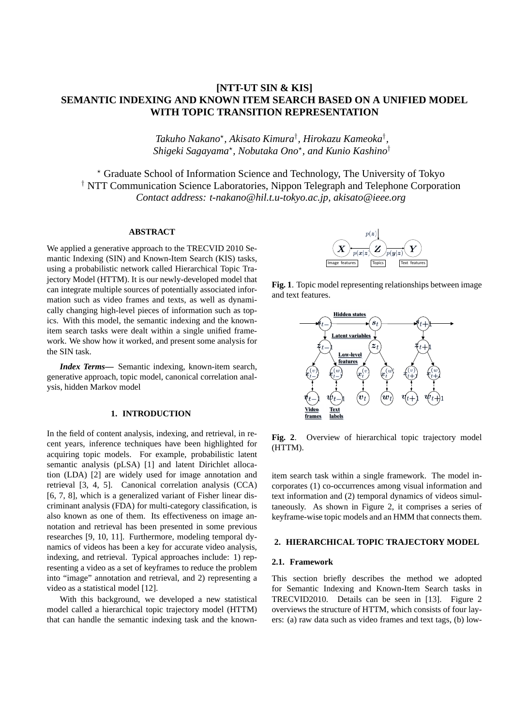# **[NTT-UT SIN & KIS] SEMANTIC INDEXING AND KNOWN ITEM SEARCH BASED ON A UNIFIED MODEL WITH TOPIC TRANSITION REPRESENTATION**

*Takuho Nakano? , Akisato Kimura† , Hirokazu Kameoka† , Shigeki Sagayama? , Nobutaka Ono? , and Kunio Kashino†*

*?* Graduate School of Information Science and Technology, The University of Tokyo *†* NTT Communication Science Laboratories, Nippon Telegraph and Telephone Corporation *Contact address: t-nakano@hil.t.u-tokyo.ac.jp, akisato@ieee.org*

## **ABSTRACT**

We applied a generative approach to the TRECVID 2010 Semantic Indexing (SIN) and Known-Item Search (KIS) tasks, using a probabilistic network called Hierarchical Topic Trajectory Model (HTTM). It is our newly-developed model that can integrate multiple sources of potentially associated information such as video frames and texts, as well as dynamically changing high-level pieces of information such as topics. With this model, the semantic indexing and the knownitem search tasks were dealt within a single unified framework. We show how it worked, and present some analysis for the SIN task.

*Index Terms***—** Semantic indexing, known-item search, generative approach, topic model, canonical correlation analysis, hidden Markov model

# **1. INTRODUCTION**

In the field of content analysis, indexing, and retrieval, in recent years, inference techniques have been highlighted for acquiring topic models. For example, probabilistic latent semantic analysis (pLSA) [1] and latent Dirichlet allocation (LDA) [2] are widely used for image annotation and retrieval [3, 4, 5]. Canonical correlation analysis (CCA) [6, 7, 8], which is a generalized variant of Fisher linear discriminant analysis (FDA) for multi-category classification, is also known as one of them. Its effectiveness on image annotation and retrieval has been presented in some previous researches [9, 10, 11]. Furthermore, modeling temporal dynamics of videos has been a key for accurate video analysis, indexing, and retrieval. Typical approaches include: 1) representing a video as a set of keyframes to reduce the problem into "image" annotation and retrieval, and 2) representing a video as a statistical model [12].

With this background, we developed a new statistical model called a hierarchical topic trajectory model (HTTM) that can handle the semantic indexing task and the known-



**Fig. 1**. Topic model representing relationships between image and text features.



**Fig. 2**. Overview of hierarchical topic trajectory model (HTTM).

item search task within a single framework. The model incorporates (1) co-occurrences among visual information and text information and (2) temporal dynamics of videos simultaneously. As shown in Figure 2, it comprises a series of keyframe-wise topic models and an HMM that connects them.

## **2. HIERARCHICAL TOPIC TRAJECTORY MODEL**

#### **2.1. Framework**

This section briefly describes the method we adopted for Semantic Indexing and Known-Item Search tasks in TRECVID2010. Details can be seen in [13]. Figure 2 overviews the structure of HTTM, which consists of four layers: (a) raw data such as video frames and text tags, (b) low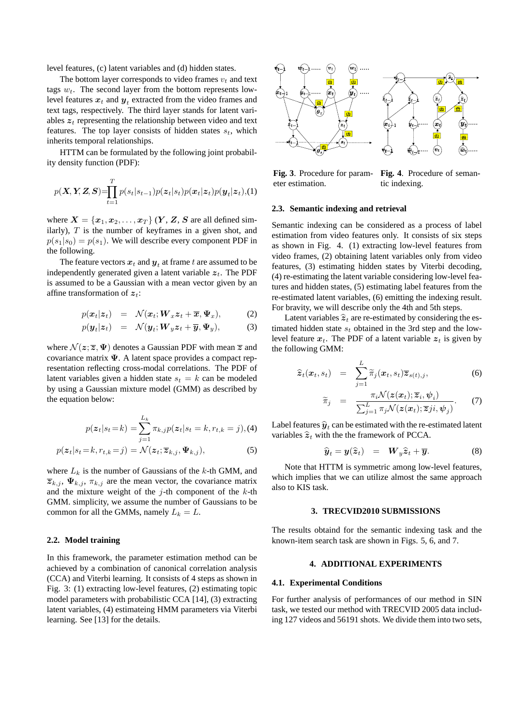level features, (c) latent variables and (d) hidden states.

The bottom layer corresponds to video frames  $v_t$  and text tags *wt*. The second layer from the bottom represents lowlevel features  $x_t$  and  $y_t$  extracted from the video frames and text tags, respectively. The third layer stands for latent variables  $z_t$  representing the relationship between video and text features. The top layer consists of hidden states  $s_t$ , which inherits temporal relationships.

HTTM can be formulated by the following joint probability density function (PDF):

$$
p(\mathbf{X}, \mathbf{Y}, \mathbf{Z}, \mathbf{S}) = \prod_{t=1}^{T} p(s_t|s_{t-1}) p(\mathbf{z}_t|s_t) p(\mathbf{x}_t|\mathbf{z}_t) p(\mathbf{y}_t|\mathbf{z}_t), (1)
$$

where  $X = \{x_1, x_2, \ldots, x_T\}$   $(Y, Z, S)$  are all defined similarly), *T* is the number of keyframes in a given shot, and  $p(s_1|s_0) = p(s_1)$ . We will describe every component PDF in the following.

The feature vectors  $\boldsymbol{x}_t$  and  $\boldsymbol{y}_t$  at frame  $t$  are assumed to be independently generated given a latent variable  $z_t$ . The PDF is assumed to be a Gaussian with a mean vector given by an affine transformation of *zt*:

$$
p(\boldsymbol{x}_t|\boldsymbol{z}_t) = \mathcal{N}(\boldsymbol{x}_t; \boldsymbol{W}_x \boldsymbol{z}_t + \overline{\boldsymbol{x}}, \boldsymbol{\Psi}_x), \qquad (2)
$$

$$
p(\boldsymbol{y}_t|\boldsymbol{z}_t) = \mathcal{N}(\boldsymbol{y}_t; \boldsymbol{W}_y \boldsymbol{z}_t + \overline{\boldsymbol{y}}, \boldsymbol{\Psi}_y), \tag{3}
$$

where  $\mathcal{N}(z; \overline{z}, \Psi)$  denotes a Gaussian PDF with mean  $\overline{z}$  and covariance matrix **Ψ**. A latent space provides a compact representation reflecting cross-modal correlations. The PDF of latent variables given a hidden state  $s_t = k$  can be modeled by using a Gaussian mixture model (GMM) as described by the equation below:

$$
p(\mathbf{z}_t|s_t = k) = \sum_{j=1}^{L_k} \pi_{k,j} p(\mathbf{z}_t|s_t = k, r_{t,k} = j), (4)
$$

$$
p(\boldsymbol{z}_t|s_t = k, r_{t,k} = j) = \mathcal{N}(\boldsymbol{z}_t; \overline{\boldsymbol{z}}_{k,j}, \boldsymbol{\Psi}_{k,j}),
$$
\n(5)

where  $L_k$  is the number of Gaussians of the  $k$ -th GMM, and  $\overline{z}_{k,j}$ ,  $\Psi_{k,j}$ ,  $\pi_{k,j}$  are the mean vector, the covariance matrix and the mixture weight of the *j*-th component of the *k*-th GMM. simplicity, we assume the number of Gaussians to be common for all the GMMs, namely  $L_k = L$ .

## **2.2. Model training**

In this framework, the parameter estimation method can be achieved by a combination of canonical correlation analysis (CCA) and Viterbi learning. It consists of 4 steps as shown in Fig. 3: (1) extracting low-level features, (2) estimating topic model parameters with probabilistic CCA [14], (3) extracting latent variables, (4) estimateing HMM parameters via Viterbi learning. See [13] for the details.



**Fig. 3**. Procedure for parameter estimation. **Fig. 4**. Procedure of semantic indexing.

### **2.3. Semantic indexing and retrieval**

Semantic indexing can be considered as a process of label estimation from video features only. It consists of six steps as shown in Fig. 4. (1) extracting low-level features from video frames, (2) obtaining latent variables only from video features, (3) estimating hidden states by Viterbi decoding, (4) re-estimating the latent variable considering low-level features and hidden states, (5) estimating label features from the re-estimated latent variables, (6) emitting the indexing result. For bravity, we will describe only the 4th and 5th steps.

Latent variables  $\hat{z}_t$  are re-estimated by considering the estimated hidden state *s<sup>t</sup>* obtained in the 3rd step and the lowlevel feature  $x_t$ . The PDF of a latent variable  $z_t$  is given by the following GMM:

$$
\widehat{\mathbf{z}}_t(\boldsymbol{x}_t, s_t) = \sum_{j=1}^L \widetilde{\pi}_j(\boldsymbol{x}_t, s_t) \overline{\mathbf{z}}_{s(t), j},
$$
\n(6)

$$
\widetilde{\pi}_j = \frac{\pi_i \mathcal{N}(\boldsymbol{z}(\boldsymbol{x}_t); \overline{\boldsymbol{z}}_i, \boldsymbol{\psi}_i)}{\sum_{j=1}^L \pi_j \mathcal{N}(\boldsymbol{z}(\boldsymbol{x}_t); \overline{\boldsymbol{z}}_j; \boldsymbol{\psi}_j)}.
$$
 (7)

Label features  $\hat{y}_t$  can be estimated with the re-estimated latent<br>unrighted  $\hat{y}_t$  with the the feature and  $\hat{y}_t$  CCA variables  $\hat{z}_t$  with the the framework of PCCA.

$$
\widehat{\boldsymbol{y}}_t = \boldsymbol{y}(\widehat{\boldsymbol{z}}_t) = \boldsymbol{W}_y \widehat{\boldsymbol{z}}_t + \overline{\boldsymbol{y}}.
$$
 (8)

Note that HTTM is symmetric among low-level features, which implies that we can utilize almost the same approach also to KIS task.

#### **3. TRECVID2010 SUBMISSIONS**

The results obtaind for the semantic indexing task and the known-item search task are shown in Figs. 5, 6, and 7.

# **4. ADDITIONAL EXPERIMENTS**

## **4.1. Experimental Conditions**

For further analysis of performances of our method in SIN task, we tested our method with TRECVID 2005 data including 127 videos and 56191 shots. We divide them into two sets,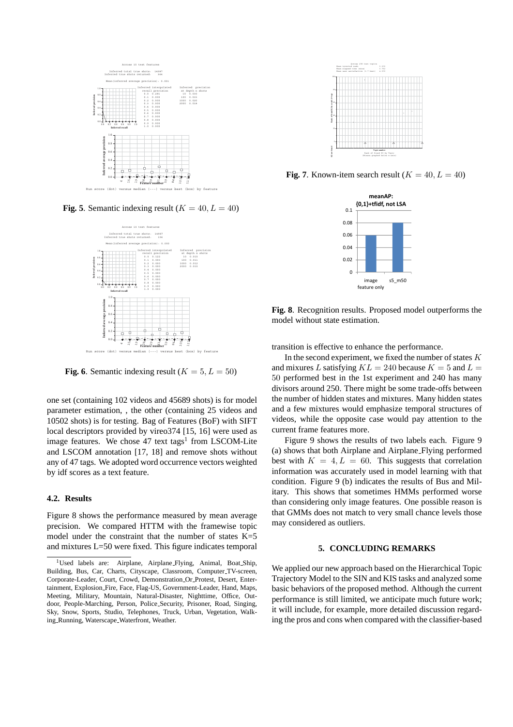

**Fig. 5**. Semantic indexing result  $(K = 40, L = 40)$ 



**Fig. 6**. Semantic indexing result ( $K = 5, L = 50$ )

one set (containing 102 videos and 45689 shots) is for model parameter estimation, , the other (containing 25 videos and 10502 shots) is for testing. Bag of Features (BoF) with SIFT local descriptors provided by vireo374 [15, 16] were used as image features. We chose 47 text tags<sup>1</sup> from LSCOM-Lite and LSCOM annotation [17, 18] and remove shots without any of 47 tags. We adopted word occurrence vectors weighted by idf scores as a text feature.

## **4.2. Results**

Figure 8 shows the performance measured by mean average precision. We compared HTTM with the framewise topic model under the constraint that the number of states K=5 and mixtures L=50 were fixed. This figure indicates temporal



**Fig. 7**. Known-item search result ( $K = 40, L = 40$ )



**Fig. 8**. Recognition results. Proposed model outperforms the model without state estimation.

transition is effective to enhance the performance.

In the second experiment, we fixed the number of states *K* and mixures *L* satisfying  $KL = 240$  because  $K = 5$  and  $L =$ 50 performed best in the 1st experiment and 240 has many divisors around 250. There might be some trade-offs between the number of hidden states and mixtures. Many hidden states and a few mixtures would emphasize temporal structures of videos, while the opposite case would pay attention to the current frame features more.

Figure 9 shows the results of two labels each. Figure 9 (a) shows that both Airplane and Airplane Flying performed best with  $K = 4, L = 60$ . This suggests that correlation information was accurately used in model learning with that condition. Figure 9 (b) indicates the results of Bus and Military. This shows that sometimes HMMs performed worse than considering only image features. One possible reason is that GMMs does not match to very small chance levels those may considered as outliers.

#### **5. CONCLUDING REMARKS**

We applied our new approach based on the Hierarchical Topic Trajectory Model to the SIN and KIS tasks and analyzed some basic behaviors of the proposed method. Although the current performance is still limited, we anticipate much future work; it will include, for example, more detailed discussion regarding the pros and cons when compared with the classifier-based

<sup>&</sup>lt;sup>1</sup>Used labels are: Airplane, Airplane Flying, Animal, Boat Ship, Building, Bus, Car, Charts, Cityscape, Classroom, Computer\_TV-screen, Corporate-Leader, Court, Crowd, Demonstration Or Protest, Desert, Entertainment, Explosion Fire, Face, Flag-US, Government-Leader, Hand, Maps, Meeting, Military, Mountain, Natural-Disaster, Nighttime, Office, Outdoor, People-Marching, Person, Police Security, Prisoner, Road, Singing, Sky, Snow, Sports, Studio, Telephones, Truck, Urban, Vegetation, Walking Running, Waterscape Waterfront, Weather.